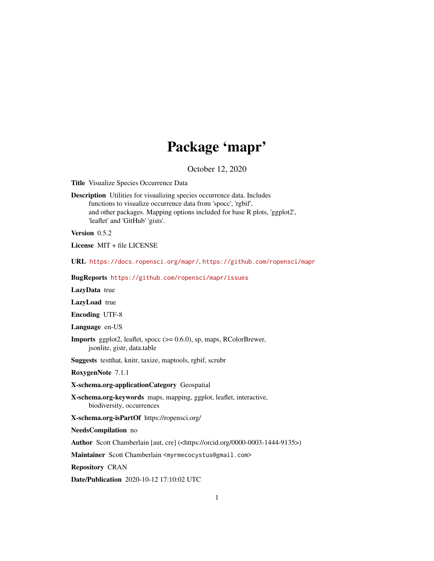## Package 'mapr'

October 12, 2020

<span id="page-0-0"></span>Title Visualize Species Occurrence Data

Description Utilities for visualizing species occurrence data. Includes functions to visualize occurrence data from 'spocc', 'rgbif', and other packages. Mapping options included for base R plots, 'ggplot2', 'leaflet' and 'GitHub' 'gists'.

Version 0.5.2

License MIT + file LICENSE

URL <https://docs.ropensci.org/mapr/>, <https://github.com/ropensci/mapr>

BugReports <https://github.com/ropensci/mapr/issues>

LazyData true

LazyLoad true

Encoding UTF-8

Language en-US

Imports ggplot2, leaflet, spocc (>= 0.6.0), sp, maps, RColorBrewer, jsonlite, gistr, data.table

Suggests testthat, knitr, taxize, maptools, rgbif, scrubr

RoxygenNote 7.1.1

X-schema.org-applicationCategory Geospatial

X-schema.org-keywords maps, mapping, ggplot, leaflet, interactive, biodiversity, occurrences

X-schema.org-isPartOf https://ropensci.org/

NeedsCompilation no

Author Scott Chamberlain [aut, cre] (<https://orcid.org/0000-0003-1444-9135>)

Maintainer Scott Chamberlain <myrmecocystus@gmail.com>

Repository CRAN

Date/Publication 2020-10-12 17:10:02 UTC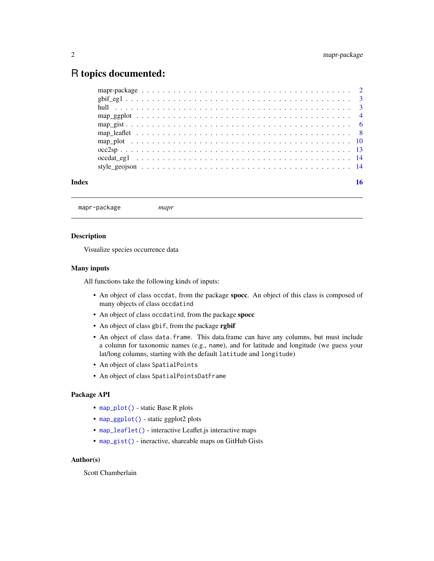### <span id="page-1-0"></span>R topics documented:

mapr-package *mapr*

#### Description

Visualize species occurrence data

#### Many inputs

All functions take the following kinds of inputs:

- An object of class occdat, from the package spoce. An object of this class is composed of many objects of class occdatind
- An object of class occdatind, from the package spocc
- An object of class gbif, from the package rgbif
- An object of class data.frame. This data.frame can have any columns, but must include a column for taxonomic names (e.g., name), and for latitude and longitude (we guess your lat/long columns, starting with the default latitude and longitude)
- An object of class SpatialPoints
- An object of class SpatialPointsDatFrame

#### Package API

- [map\\_plot\(\)](#page-9-1) static Base R plots
- [map\\_ggplot\(\)](#page-3-1) static ggplot2 plots
- [map\\_leaflet\(\)](#page-7-1) interactive Leaflet.js interactive maps
- [map\\_gist\(\)](#page-5-1) ineractive, shareable maps on GitHub Gists

#### Author(s)

Scott Chamberlain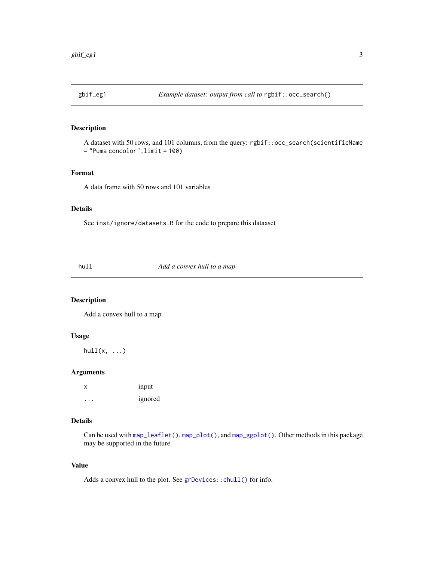<span id="page-2-0"></span>

#### Description

A dataset with 50 rows, and 101 columns, from the query: rgbif::occ\_search(scientificName = "Puma concolor",limit = 100)

#### Format

A data frame with 50 rows and 101 variables

#### Details

See inst/ignore/datasets.R for the code to prepare this dataaset

<span id="page-2-1"></span>hull *Add a convex hull to a map*

#### Description

Add a convex hull to a map

#### Usage

 $hull(x, \ldots)$ 

#### Arguments

x input ... ignored

#### Details

Can be used with [map\\_leaflet\(\)](#page-7-1), [map\\_plot\(\)](#page-9-1), and [map\\_ggplot\(\)](#page-3-1). Other methods in this package may be supported in the future.

#### Value

Adds a convex hull to the plot. See [grDevices::chull\(\)](#page-0-0) for info.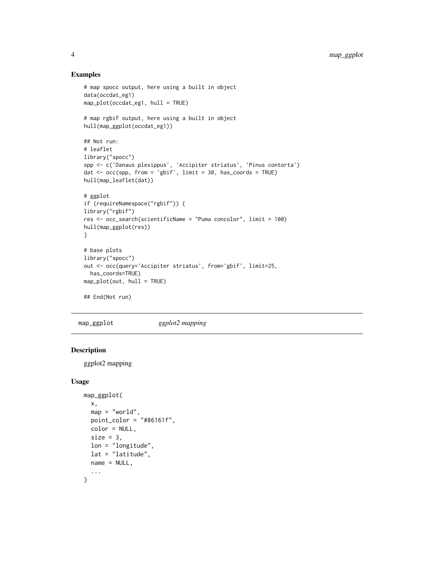#### Examples

```
# map spocc output, here using a built in object
data(occdat_eg1)
map_plot(occdat_eg1, hull = TRUE)
# map rgbif output, here using a built in object
hull(map_ggplot(occdat_eg1))
## Not run:
# leaflet
library("spocc")
spp <- c('Danaus plexippus', 'Accipiter striatus', 'Pinus contorta')
dat <- occ(spp, from = 'gbif', limit = 30, has_coords = TRUE)
hull(map_leaflet(dat))
# ggplot
if (requireNamespace("rgbif")) {
library("rgbif")
res <- occ_search(scientificName = "Puma concolor", limit = 100)
hull(map_ggplot(res))
}
# base plots
library("spocc")
out <- occ(query='Accipiter striatus', from='gbif', limit=25,
  has_coords=TRUE)
map_plot(out, hull = TRUE)
## End(Not run)
```
<span id="page-3-1"></span>map\_ggplot *ggplot2 mapping*

#### Description

ggplot2 mapping

```
map_ggplot(
 x,
  map = "world",point_color = "#86161f",
 color = NULL,
  size = 3.
 lon = "longitude",
  lat = "lattice",name = NULL,...
\mathcal{L}
```
<span id="page-3-0"></span>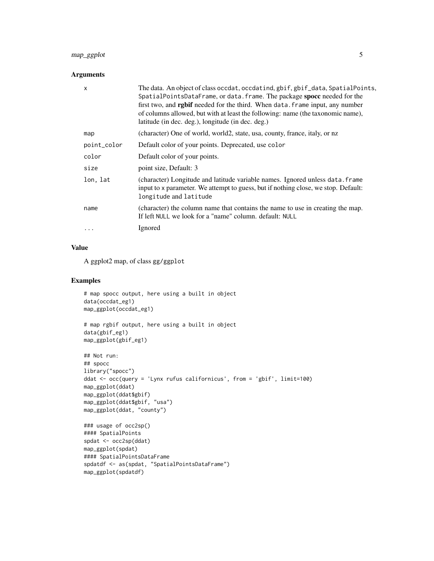#### map\_ggplot 5

#### Arguments

| $\mathsf{x}$ | The data. An object of class occdat, occdatind, gbif, gbif_data, SpatialPoints,<br>SpatialPointsDataFrame, or data. frame. The package spocc needed for the<br>first two, and <b>rgbif</b> needed for the third. When data. frame input, any number<br>of columns allowed, but with at least the following: name (the taxonomic name),<br>latitude (in dec. deg.), longitude (in dec. deg.) |
|--------------|---------------------------------------------------------------------------------------------------------------------------------------------------------------------------------------------------------------------------------------------------------------------------------------------------------------------------------------------------------------------------------------------|
| map          | (character) One of world, world2, state, usa, county, france, italy, or nz                                                                                                                                                                                                                                                                                                                  |
| point_color  | Default color of your points. Deprecated, use color                                                                                                                                                                                                                                                                                                                                         |
| color        | Default color of your points.                                                                                                                                                                                                                                                                                                                                                               |
| size         | point size, Default: 3                                                                                                                                                                                                                                                                                                                                                                      |
| lon, lat     | (character) Longitude and latitude variable names. Ignored unless data. frame<br>input to x parameter. We attempt to guess, but if nothing close, we stop. Default:<br>longitude and latitude                                                                                                                                                                                               |
| name         | (character) the column name that contains the name to use in creating the map.<br>If left NULL we look for a "name" column, default: NULL                                                                                                                                                                                                                                                   |
| .            | Ignored                                                                                                                                                                                                                                                                                                                                                                                     |

#### Value

A ggplot2 map, of class gg/ggplot

```
# map spocc output, here using a built in object
data(occdat_eg1)
map_ggplot(occdat_eg1)
```

```
# map rgbif output, here using a built in object
data(gbif_eg1)
map_ggplot(gbif_eg1)
```

```
## Not run:
## spocc
library("spocc")
ddat <- occ(query = 'Lynx rufus californicus', from = 'gbif', limit=100)
map_ggplot(ddat)
map_ggplot(ddat$gbif)
map_ggplot(ddat$gbif, "usa")
map_ggplot(ddat, "county")
### usage of occ2sp()
#### SpatialPoints
spdat <- occ2sp(ddat)
map_ggplot(spdat)
```

```
#### SpatialPointsDataFrame
spdatdf <- as(spdat, "SpatialPointsDataFrame")
map_ggplot(spdatdf)
```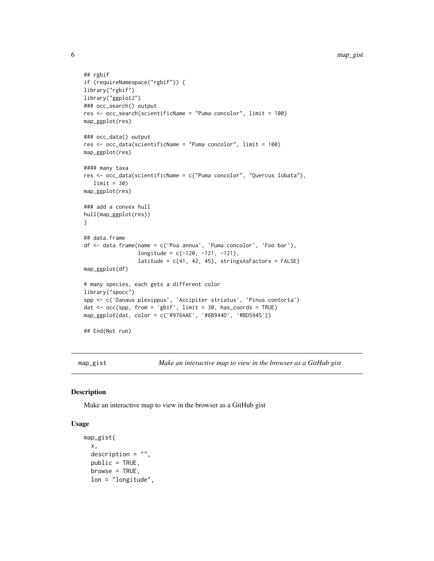```
## rgbif
if (requireNamespace("rgbif")) {
library("rgbif")
library("ggplot2")
### occ_search() output
res <- occ_search(scientificName = "Puma concolor", limit = 100)
map_ggplot(res)
### occ_data() output
res <- occ_data(scientificName = "Puma concolor", limit = 100)
map_ggplot(res)
#### many taxa
res <- occ_data(scientificName = c("Puma concolor", "Quercus lobata"),
   limit = 30map_ggplot(res)
### add a convex hull
hull(map_ggplot(res))
}
## data.frame
df <- data.frame(name = c('Poa annua', 'Puma concolor', 'Foo bar'),
                 longitude = c(-120, -121, -121),
                 latitude = c(41, 42, 45), stringsAsFactors = FALSE)
map_ggplot(df)
# many species, each gets a different color
library("spocc")
spp <- c('Danaus plexippus', 'Accipiter striatus', 'Pinus contorta')
dat <- occ(spp, from = 'gbif', limit = 30, has_coords = TRUE)
map_ggplot(dat, color = c('#976AAE', '#6B944D', '#BD5945'))
## End(Not run)
```
<span id="page-5-1"></span>map\_gist *Make an interactive map to view in the browser as a GitHub gist*

#### Description

Make an interactive map to view in the browser as a GitHub gist

```
map_gist(
 x,
 description = ",
 public = TRUE,browse = TRUE,
 lon = "longitude",
```
<span id="page-5-0"></span>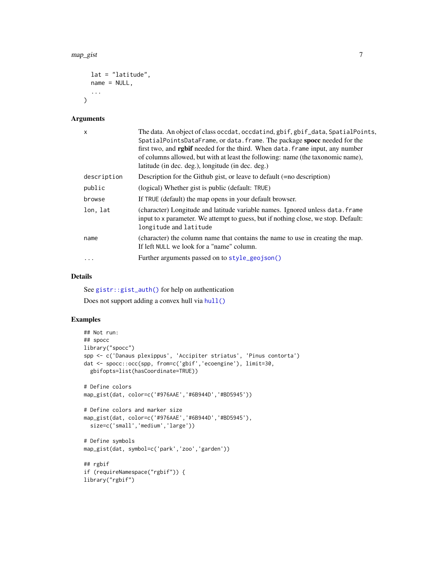```
lat = "latitude",
  name = NULL,...
\mathcal{L}
```
#### Arguments

| $\mathsf{x}$ | The data. An object of class occdat, occdatind, gbif, gbif_data, SpatialPoints,<br>SpatialPointsDataFrame, or data. frame. The package spocc needed for the<br>first two, and <b>rgbif</b> needed for the third. When data. frame input, any number<br>of columns allowed, but with at least the following: name (the taxonomic name),<br>latitude (in dec. deg.), longitude (in dec. deg.) |
|--------------|---------------------------------------------------------------------------------------------------------------------------------------------------------------------------------------------------------------------------------------------------------------------------------------------------------------------------------------------------------------------------------------------|
| description  | Description for the Github gist, or leave to default (=no description)                                                                                                                                                                                                                                                                                                                      |
| public       | (logical) Whether gist is public (default: TRUE)                                                                                                                                                                                                                                                                                                                                            |
| browse       | If TRUE (default) the map opens in your default browser.                                                                                                                                                                                                                                                                                                                                    |
| lon, lat     | (character) Longitude and latitude variable names. Ignored unless data. frame<br>input to x parameter. We attempt to guess, but if nothing close, we stop. Default:<br>longitude and latitude                                                                                                                                                                                               |
| name         | (character) the column name that contains the name to use in creating the map.<br>If left NULL we look for a "name" column.                                                                                                                                                                                                                                                                 |
| $\cdot$      | Further arguments passed on to style_geojson()                                                                                                                                                                                                                                                                                                                                              |

#### Details

See [gistr::gist\\_auth\(\)](#page-0-0) for help on authentication

Does not support adding a convex hull via [hull\(\)](#page-2-1)

```
## Not run:
## spocc
library("spocc")
spp <- c('Danaus plexippus', 'Accipiter striatus', 'Pinus contorta')
dat <- spocc::occ(spp, from=c('gbif','ecoengine'), limit=30,
  gbifopts=list(hasCoordinate=TRUE))
# Define colors
map_gist(dat, color=c('#976AAE','#6B944D','#BD5945'))
# Define colors and marker size
map_gist(dat, color=c('#976AAE','#6B944D','#BD5945'),
  size=c('small','medium','large'))
# Define symbols
map_gist(dat, symbol=c('park','zoo','garden'))
## rgbif
if (requireNamespace("rgbif")) {
library("rgbif")
```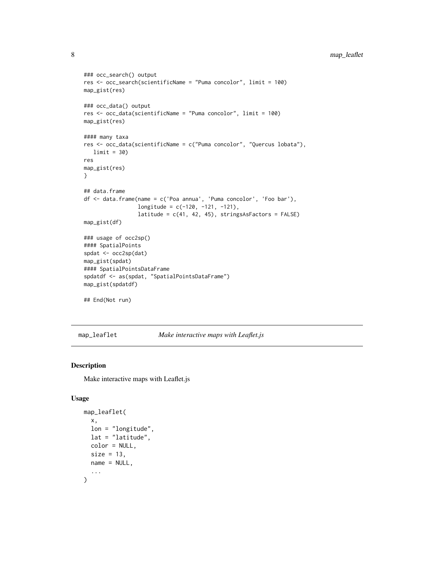```
### occ_search() output
res <- occ_search(scientificName = "Puma concolor", limit = 100)
map_gist(res)
### occ_data() output
res <- occ_data(scientificName = "Puma concolor", limit = 100)
map_gist(res)
#### many taxa
res <- occ_data(scientificName = c("Puma concolor", "Quercus lobata"),
  limit = 30)
res
map_gist(res)
}
## data.frame
df <- data.frame(name = c('Poa annua', 'Puma concolor', 'Foo bar'),
                 longitude = c(-120, -121, -121),latitude = c(41, 42, 45), stringsAsFactors = FALSE)
map_gist(df)
### usage of occ2sp()
#### SpatialPoints
spdat <- occ2sp(dat)
map_gist(spdat)
#### SpatialPointsDataFrame
spdatdf <- as(spdat, "SpatialPointsDataFrame")
map_gist(spdatdf)
## End(Not run)
```
<span id="page-7-1"></span>map\_leaflet *Make interactive maps with Leaflet.js*

#### Description

Make interactive maps with Leaflet.js

```
map_leaflet(
  x,
 lon = "longitude",
 lat = "latitude",
 color = NULL,
  size = 13,
 name = NULL,...
)
```
<span id="page-7-0"></span>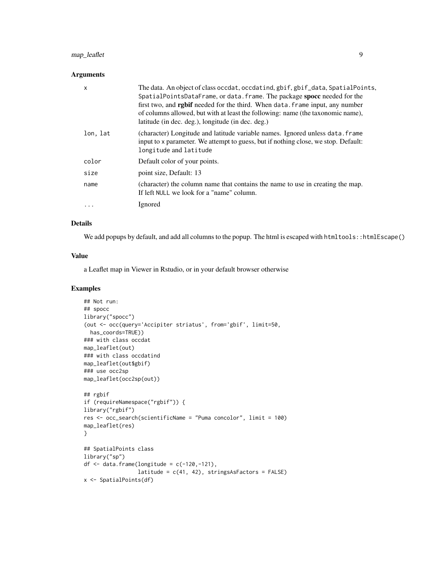#### map\_leaflet 9

#### Arguments

| X        | The data. An object of class occdat, occdatind, gbif, gbif_data, SpatialPoints,<br>SpatialPointsDataFrame, or data. frame. The package spocc needed for the<br>first two, and <b>rgbif</b> needed for the third. When data. frame input, any number<br>of columns allowed, but with at least the following: name (the taxonomic name),<br>latitude (in dec. deg.), longitude (in dec. deg.) |
|----------|---------------------------------------------------------------------------------------------------------------------------------------------------------------------------------------------------------------------------------------------------------------------------------------------------------------------------------------------------------------------------------------------|
| lon, lat | (character) Longitude and latitude variable names. Ignored unless data. frame<br>input to x parameter. We attempt to guess, but if nothing close, we stop. Default:<br>longitude and latitude                                                                                                                                                                                               |
| color    | Default color of your points.                                                                                                                                                                                                                                                                                                                                                               |
| size     | point size, Default: 13                                                                                                                                                                                                                                                                                                                                                                     |
| name     | (character) the column name that contains the name to use in creating the map.<br>If left NULL we look for a "name" column.                                                                                                                                                                                                                                                                 |
| $\cdots$ | Ignored                                                                                                                                                                                                                                                                                                                                                                                     |

#### Details

We add popups by default, and add all columns to the popup. The html is escaped with htmltools::htmlEscape()

#### Value

a Leaflet map in Viewer in Rstudio, or in your default browser otherwise

```
## Not run:
## spocc
library("spocc")
(out <- occ(query='Accipiter striatus', from='gbif', limit=50,
 has_coords=TRUE))
### with class occdat
map_leaflet(out)
### with class occdatind
map_leaflet(out$gbif)
### use occ2sp
map_leaflet(occ2sp(out))
## rgbif
if (requireNamespace("rgbif")) {
library("rgbif")
res <- occ_search(scientificName = "Puma concolor", limit = 100)
map_leaflet(res)
}
## SpatialPoints class
library("sp")
df \le data.frame(longitude = c(-120,-121),
                 latitude = c(41, 42), stringsAsFactors = FALSE)
x <- SpatialPoints(df)
```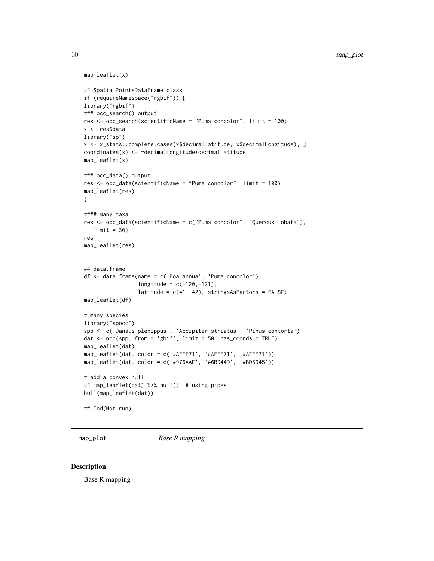```
map_leaflet(x)
## SpatialPointsDataFrame class
if (requireNamespace("rgbif")) {
library("rgbif")
### occ_search() output
res <- occ_search(scientificName = "Puma concolor", limit = 100)
x <- res$data
library("sp")
x <- x[stats::complete.cases(x$decimalLatitude, x$decimalLongitude), ]
coordinates(x) <- ~decimalLongitude+decimalLatitude
map_leaflet(x)
### occ_data() output
res <- occ_data(scientificName = "Puma concolor", limit = 100)
map_leaflet(res)
}
#### many taxa
res <- occ_data(scientificName = c("Puma concolor", "Quercus lobata"),
   limit = 30)
res
map_leaflet(res)
## data.frame
df <- data.frame(name = c('Poa annua', 'Puma concolor'),
                 longitude = c(-120, -121),
                 latitude = c(41, 42), stringsAsFactors = FALSE)
map_leaflet(df)
# many species
library("spocc")
spp <- c('Danaus plexippus', 'Accipiter striatus', 'Pinus contorta')
dat \leq occ(spp, from = 'gbif', limit = 50, has_coords = TRUE)
map_leaflet(dat)
map_leaflet(dat, color = c('#AFFF71', '#AFFF71', '#AFFF71'))
map_leaflet(dat, color = c('#976AAE', '#6B944D', '#BD5945'))
# add a convex hull
## map_leaflet(dat) %>% hull() # using pipes
hull(map_leaflet(dat))
## End(Not run)
```
<span id="page-9-1"></span>map\_plot *Base R mapping*

#### Description

Base R mapping

<span id="page-9-0"></span>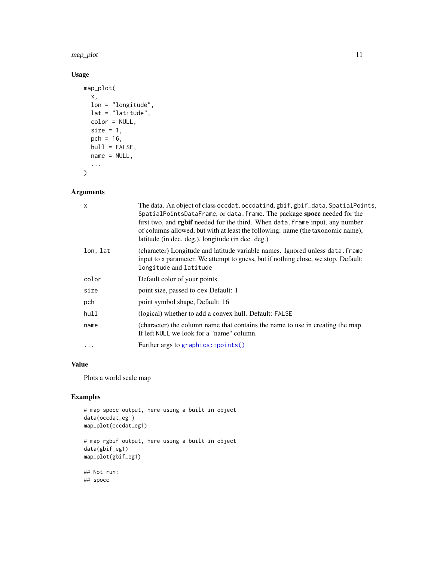<span id="page-10-0"></span>map\_plot 11

#### Usage

```
map_plot(
 x,
 lon = "longitude",
 lat = "latitude",
 color = NULL,
 size = 1,
 pch = 16,
 hull = FALSE,name = NULL,...
\mathcal{L}
```
#### Arguments

| $\times$ | The data. An object of class occdat, occdatind, gbif, gbif_data, SpatialPoints,<br>SpatialPointsDataFrame, or data. frame. The package spocc needed for the<br>first two, and rgbif needed for the third. When data. frame input, any number<br>of columns allowed, but with at least the following: name (the taxonomic name),<br>latitude (in dec. deg.), longitude (in dec. deg.) |
|----------|--------------------------------------------------------------------------------------------------------------------------------------------------------------------------------------------------------------------------------------------------------------------------------------------------------------------------------------------------------------------------------------|
| lon, lat | (character) Longitude and latitude variable names. Ignored unless data. frame<br>input to x parameter. We attempt to guess, but if nothing close, we stop. Default:<br>longitude and latitude                                                                                                                                                                                        |
| color    | Default color of your points.                                                                                                                                                                                                                                                                                                                                                        |
| size     | point size, passed to cex Default: 1                                                                                                                                                                                                                                                                                                                                                 |
| pch      | point symbol shape, Default: 16                                                                                                                                                                                                                                                                                                                                                      |
| hull     | (logical) whether to add a convex hull. Default: FALSE                                                                                                                                                                                                                                                                                                                               |
| name     | (character) the column name that contains the name to use in creating the map.<br>If left NULL we look for a "name" column.                                                                                                                                                                                                                                                          |
| .        | Further args to graphics::points()                                                                                                                                                                                                                                                                                                                                                   |
|          |                                                                                                                                                                                                                                                                                                                                                                                      |

#### Value

Plots a world scale map

```
# map spocc output, here using a built in object
data(occdat_eg1)
map_plot(occdat_eg1)
# map rgbif output, here using a built in object
data(gbif_eg1)
map_plot(gbif_eg1)
## Not run:
## spocc
```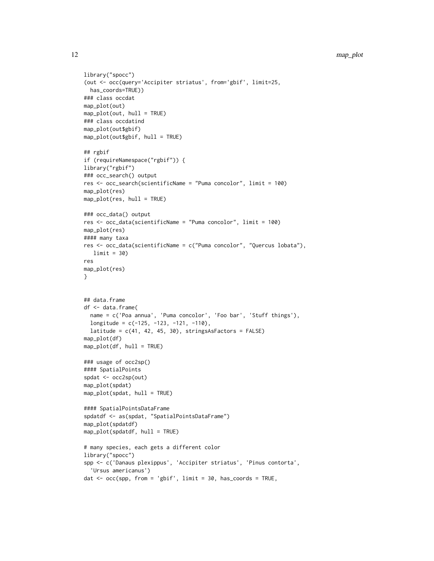```
library("spocc")
(out <- occ(query='Accipiter striatus', from='gbif', limit=25,
 has_coords=TRUE))
### class occdat
map_plot(out)
map_plot(out, hull = TRUE)
### class occdatind
map_plot(out$gbif)
map_plot(out$gbif, hull = TRUE)
## rgbif
if (requireNamespace("rgbif")) {
library("rgbif")
### occ_search() output
res <- occ_search(scientificName = "Puma concolor", limit = 100)
map_plot(res)
map_plot(res, hull = TRUE)
### occ_data() output
res <- occ_data(scientificName = "Puma concolor", limit = 100)
map_plot(res)
#### many taxa
res <- occ_data(scientificName = c("Puma concolor", "Quercus lobata"),
  limit = 30)
res
map_plot(res)
}
## data.frame
df <- data.frame(
 name = c('Poa annua', 'Puma concolor', 'Foo bar', 'Stuff things'),
  longitude = c(-125, -123, -121, -110),
  latitude = c(41, 42, 45, 30), stringsAsFactors = FALSE)
map_plot(df)
map_plot(df, hull = TRUE)
### usage of occ2sp()
#### SpatialPoints
spdat <- occ2sp(out)
map_plot(spdat)
map_plot(spdat, hull = TRUE)
#### SpatialPointsDataFrame
spdatdf <- as(spdat, "SpatialPointsDataFrame")
map_plot(spdatdf)
map_plot(spdatdf, hull = TRUE)
# many species, each gets a different color
library("spocc")
spp <- c('Danaus plexippus', 'Accipiter striatus', 'Pinus contorta',
  'Ursus americanus')
dat \leq occ(spp, from = 'gbif', limit = 30, has_coords = TRUE,
```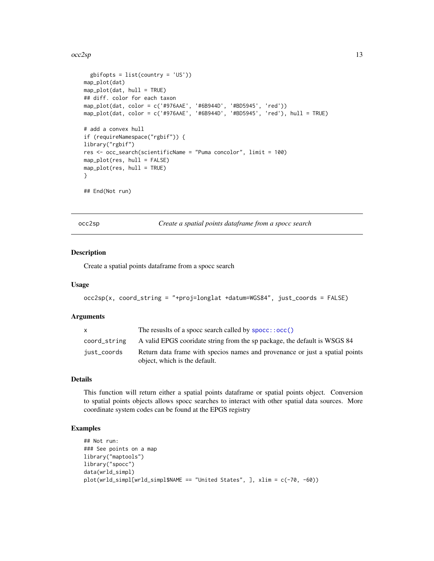#### <span id="page-12-0"></span> $\alpha$ cc2sp  $\alpha$  13

```
gbifopts = list(country = 'US'))
map_plot(dat)
map_plot(dat, hull = TRUE)
## diff. color for each taxon
map_plot(dat, color = c('#976AAE', '#6B944D', '#BD5945', 'red'))
map_plot(dat, color = c('#976AAE', '#6B944D', '#BD5945', 'red'), hull = TRUE)
# add a convex hull
if (requireNamespace("rgbif")) {
library("rgbif")
res <- occ_search(scientificName = "Puma concolor", limit = 100)
map_plot(res, hull = FALSE)
map_plot(res, hull = TRUE)
}
## End(Not run)
```
occ2sp *Create a spatial points dataframe from a spocc search*

#### Description

Create a spatial points dataframe from a spocc search

#### Usage

```
occ2sp(x, coord_string = "+proj=longlat +datum=WGS84", just_coords = FALSE)
```
#### Arguments

| X            | The resusits of a spoce search called by $space$ : $occ()$                                                    |
|--------------|---------------------------------------------------------------------------------------------------------------|
| coord_string | A valid EPGS coordate string from the sp package, the default is WSGS 84                                      |
| just_coords  | Return data frame with specios names and provenance or just a spatial points<br>object, which is the default. |

#### Details

This function will return either a spatial points dataframe or spatial points object. Conversion to spatial points objects allows spocc searches to interact with other spatial data sources. More coordinate system codes can be found at the EPGS registry

```
## Not run:
### See points on a map
library("maptools")
library("spocc")
data(wrld_simpl)
plot(wrld_simpl[wrld_simpl$NAME == "United States", ], xlim = c(-70, -60))
```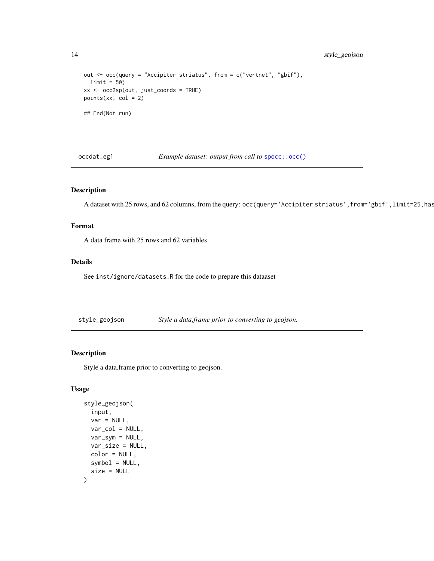```
out <- occ(query = "Accipiter striatus", from = c("vertnet", "gbif"),
 limit = 50xx <- occ2sp(out, just_coords = TRUE)
points(xx, col = 2)## End(Not run)
```
occdat\_eg1 *Example dataset: output from call to* [spocc::occ\(\)](#page-0-0)

#### Description

A dataset with 25 rows, and 62 columns, from the query: occ(query='Accipiter striatus', from='gbif', limit=25, has

#### Format

A data frame with 25 rows and 62 variables

#### Details

See inst/ignore/datasets.R for the code to prepare this dataaset

<span id="page-13-1"></span>style\_geojson *Style a data.frame prior to converting to geojson.*

#### Description

Style a data.frame prior to converting to geojson.

```
style_geojson(
  input,
  var = NULL,var_col = NULL,
  var\_sym = NULL,
 var_size = NULL,
 color = NULL,
  symbol = NULL,
  size = NULL
)
```
<span id="page-13-0"></span>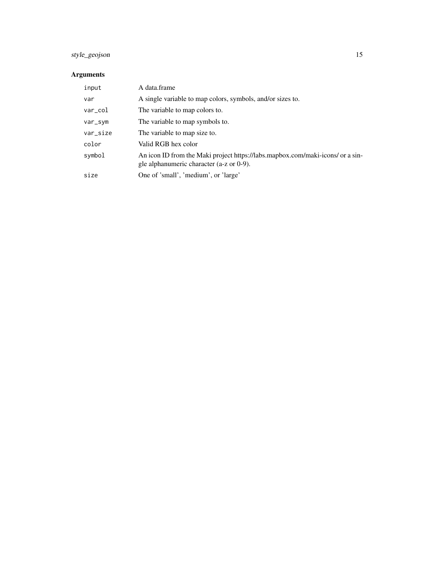### style\_geojson 15

#### Arguments

| input       | A data.frame                                                                                                               |
|-------------|----------------------------------------------------------------------------------------------------------------------------|
| var         | A single variable to map colors, symbols, and/or sizes to.                                                                 |
| $var_c$ col | The variable to map colors to.                                                                                             |
| var_sym     | The variable to map symbols to.                                                                                            |
| var_size    | The variable to map size to.                                                                                               |
| color       | Valid RGB hex color                                                                                                        |
| symbol      | An icon ID from the Maki project https://labs.mapbox.com/maki-icons/ or a sin-<br>gle alphanumeric character (a-z or 0-9). |
| size        | One of 'small', 'medium', or 'large'                                                                                       |